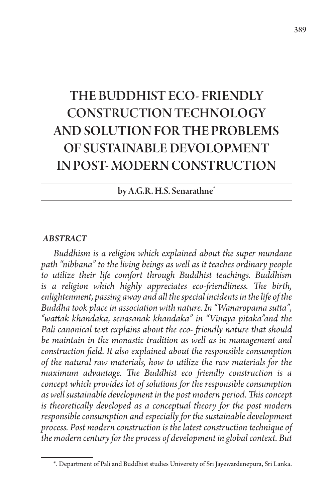# THE BUDDHIST ECO- FRIENDLY CONSTRUCTION TECHNOLOGY AND SOLUTION FOR THE PROBLEMS OF SUSTAINABLE DEVOLOPMENT IN POST- MODERN CONSTRUCTION

by A.G.R. H.S. Senarathne<sup>\*</sup>

#### *ABSTRACT*

*Buddhism is a religion which explained about the super mundane path "nibbana" to the living beings as well as it teaches ordinary people to utilize their life comfort through Buddhist teachings. Buddhism is a religion which highly appreciates eco-friendliness. The birth, enlightenment, passing away and all the special incidents in the life of the Buddha took place in association with nature. In "Wanaropama sutta", "wattak khandaka, senasanak khandaka" in "Vinaya pitaka"and the Pali canonical text explains about the eco- friendly nature that should be maintain in the monastic tradition as well as in management and construction field. It also explained about the responsible consumption of the natural raw materials, how to utilize the raw materials for the maximum advantage. The Buddhist eco friendly construction is a concept which provides lot of solutions for the responsible consumption as well sustainable development in the post modern period. This concept is theoretically developed as a conceptual theory for the post modern responsible consumption and especially for the sustainable development process. Post modern construction is the latest construction technique of the modern century for the process of development in global context. But* 

<sup>\*.</sup> Department of Pali and Buddhist studies University of Sri Jayewardenepura, Sri Lanka.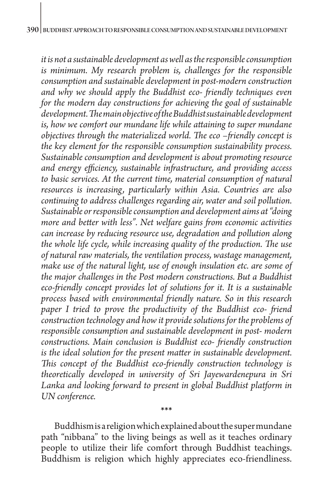*it is not a sustainable development as well as the responsible consumption is minimum. My research problem is, challenges for the responsible consumption and sustainable development in post-modern construction and why we should apply the Buddhist eco- friendly techniques even for the modern day constructions for achieving the goal of sustainable development. The main objective of the Buddhist sustainable development is, how we comfort our mundane life while attaining to super mundane objectives through the materialized world. The eco –friendly concept is the key element for the responsible consumption sustainability process. Sustainable consumption and development is about promoting resource and energy efficiency, sustainable infrastructure, and providing access to basic services. At the current time, material consumption of natural resources is increasing, particularly within Asia. Countries are also continuing to address challenges regarding air, water and soil pollution. Sustainable or responsible consumption and development aims at "doing more and better with less". Net welfare gains from economic activities can increase by reducing resource use, degradation and pollution along the whole life cycle, while increasing quality of the production. The use of natural raw materials, the ventilation process, wastage management, make use of the natural light, use of enough insulation etc. are some of the major challenges in the Post modern constructions. But a Buddhist eco-friendly concept provides lot of solutions for it. It is a sustainable process based with environmental friendly nature. So in this research paper I tried to prove the productivity of the Buddhist eco- friend construction technology and how it provide solutions for the problems of responsible consumption and sustainable development in post- modern constructions. Main conclusion is Buddhist eco- friendly construction is the ideal solution for the present matter in sustainable development. This concept of the Buddhist eco-friendly construction technology is theoretically developed in university of Sri Jayewardenepura in Sri*  Lanka and looking forward to present in global Buddhist platform in *UN conference.*

 Buddhism is a religion which explained about the super mundane path "nibbana" to the living beings as well as it teaches ordinary people to utilize their life comfort through Buddhist teachings. Buddhism is religion which highly appreciates eco-friendliness.

**\*\*\***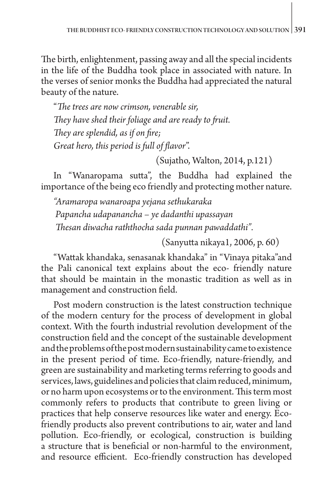The birth, enlightenment, passing away and all the special incidents in the life of the Buddha took place in associated with nature. In the verses of senior monks the Buddha had appreciated the natural beauty of the nature.

"*The trees are now crimson, venerable sir, They have shed their foliage and are ready to fruit. They are splendid, as if on fire; Great hero, this period is full of flavor*".

(Sujatho, Walton, 2014, p.121)

In "Wanaropama sutta", the Buddha had explained the importance of the being eco friendly and protecting mother nature.

*"Aramaropa wanaroapa yejana sethukaraka Papancha udapanancha – ye dadanthi upassayan Thesan diwacha raththocha sada punnan pawaddathi".* 

(Sanyutta nikaya1, 2006, p. 60)

"Wattak khandaka, senasanak khandaka" in "Vinaya pitaka"and the Pali canonical text explains about the eco- friendly nature that should be maintain in the monastic tradition as well as in management and construction field.

Post modern construction is the latest construction technique of the modern century for the process of development in global context. With the fourth industrial revolution development of the construction field and the concept of the sustainable development and the problems of the post modern sustainability came to existence in the present period of time. Eco-friendly, nature-friendly, and green are sustainability and marketing terms referring to goods and services, laws, guidelines and policies that claim reduced, minimum, or no harm upon ecosystems or to the environment. This term most commonly refers to products that contribute to green living or practices that help conserve resources like water and energy. Ecofriendly products also prevent contributions to air, water and land pollution. Eco-friendly, or ecological, construction is building a structure that is beneficial or non-harmful to the environment, and resource efficient. Eco-friendly construction has developed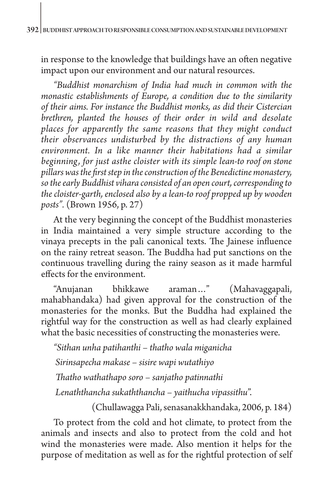in response to the knowledge that buildings have an often negative impact upon our environment and our natural resources.

*"Buddhist monarchism of India had much in common with the monastic establishments of Europe, a condition due to the similarity of their aims. For instance the Buddhist monks, as did their Cistercian brethren, planted the houses of their order in wild and desolate places for apparently the same reasons that they might conduct their observances undisturbed by the distractions of any human environment. In a like manner their habitations had a similar beginning, for just asthe cloister with its simple lean-to roof on stone pillars was the first step in the construction of the Benedictine monastery, so the early Buddhist vihara consisted of an open court, corresponding to the cloister-garth, enclosed also by a lean-to roof propped up by wooden posts".* (Brown 1956, p. 27)

At the very beginning the concept of the Buddhist monasteries in India maintained a very simple structure according to the vinaya precepts in the pali canonical texts. The Jainese influence on the rainy retreat season. The Buddha had put sanctions on the continuous travelling during the rainy season as it made harmful effects for the environment.

"Anujanan bhikkawe araman…" (Mahavaggapali, mahabhandaka) had given approval for the construction of the monasteries for the monks. But the Buddha had explained the rightful way for the construction as well as had clearly explained what the basic necessities of constructing the monasteries were.

*"Sithan unha patihanthi – thatho wala miganicha Sirinsapecha makase – sisire wapi wutathiyo Thatho wathathapo soro – sanjatho patinnathi Lenaththancha sukaththancha – yaithucha vipassithu*".

(Chullawagga Pali, senasanakkhandaka, 2006, p. 184)

To protect from the cold and hot climate, to protect from the animals and insects and also to protect from the cold and hot wind the monasteries were made. Also mention it helps for the purpose of meditation as well as for the rightful protection of self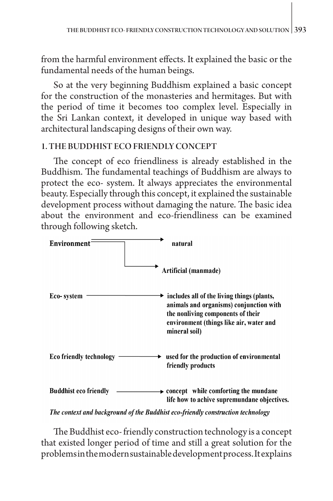from the harmful environment effects. It explained the basic or the fundamental needs of the human beings.

So at the very beginning Buddhism explained a basic concept for the construction of the monasteries and hermitages. But with the period of time it becomes too complex level. Especially in the Sri Lankan context, it developed in unique way based with architectural landscaping designs of their own way.

#### 1. THE BUDDHIST ECO FRIENDLY CONCEPT

The concept of eco friendliness is already established in the Buddhism. The fundamental teachings of Buddhism are always to protect the eco- system. It always appreciates the environmental beauty. Especially through this concept, it explained the sustainable development process without damaging the nature. The basic idea about the environment and eco-friendliness can be examined through following sketch.



The context and background of the Buddhist eco-friendly construction technology

The Buddhist eco- friendly construction technology is a concept that existed longer period of time and still a great solution for the problems in the modern sustainable development process. It explains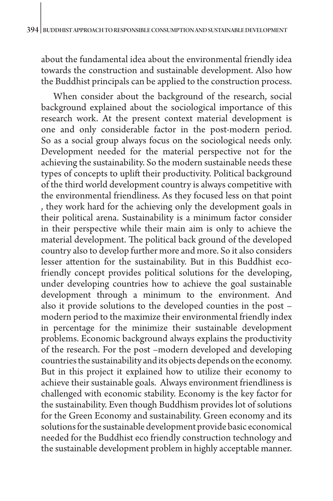about the fundamental idea about the environmental friendly idea towards the construction and sustainable development. Also how the Buddhist principals can be applied to the construction process.

When consider about the background of the research, social background explained about the sociological importance of this research work. At the present context material development is one and only considerable factor in the post-modern period. So as a social group always focus on the sociological needs only. Development needed for the material perspective not for the achieving the sustainability. So the modern sustainable needs these types of concepts to uplift their productivity. Political background of the third world development country is always competitive with the environmental friendliness. As they focused less on that point , they work hard for the achieving only the development goals in their political arena. Sustainability is a minimum factor consider in their perspective while their main aim is only to achieve the material development. The political back ground of the developed country also to develop further more and more. So it also considers lesser attention for the sustainability. But in this Buddhist ecofriendly concept provides political solutions for the developing, under developing countries how to achieve the goal sustainable development through a minimum to the environment. And also it provide solutions to the developed counties in the post – modern period to the maximize their environmental friendly index in percentage for the minimize their sustainable development problems. Economic background always explains the productivity of the research. For the post –modern developed and developing countries the sustainability and its objects depends on the economy. But in this project it explained how to utilize their economy to achieve their sustainable goals. Always environment friendliness is challenged with economic stability. Economy is the key factor for the sustainability. Even though Buddhism provides lot of solutions for the Green Economy and sustainability. Green economy and its solutions for the sustainable development provide basic economical needed for the Buddhist eco friendly construction technology and the sustainable development problem in highly acceptable manner.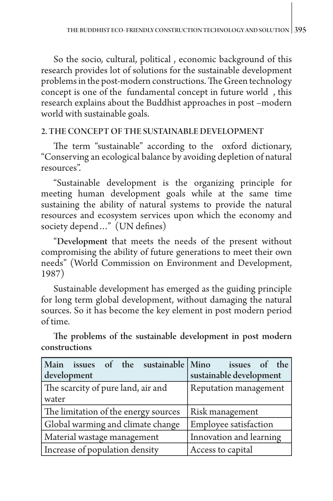So the socio, cultural, political , economic background of this research provides lot of solutions for the sustainable development problems in the post-modern constructions. The Green technology concept is one of the fundamental concept in future world , this research explains about the Buddhist approaches in post –modern world with sustainable goals.

### 2. THE CONCEPT OF THE SUSTAINABLE DEVELOPMENT

The term "sustainable" according to the oxford dictionary, "Conserving an ecological balance by avoiding depletion of natural resources".

"Sustainable development is the organizing principle for meeting human development goals while at the same time sustaining the ability of natural systems to provide the natural resources and ecosystem services upon which the economy and society depend…" (UN defines)

"Development that meets the needs of the present without compromising the ability of future generations to meet their own needs" (World Commission on Environment and Development, 1987)

Sustainable development has emerged as the guiding principle for long term global development, without damaging the natural sources. So it has become the key element in post modern period of time.

The problems of the sustainable development in post modern constructions

| Main issues of the sustainable Mino  | issues of the                |
|--------------------------------------|------------------------------|
| development                          | sustainable development      |
| The scarcity of pure land, air and   | Reputation management        |
| water                                |                              |
| The limitation of the energy sources | Risk management              |
| Global warming and climate change    | <b>Employee satisfaction</b> |
| Material wastage management          | Innovation and learning      |
| Increase of population density       | Access to capital            |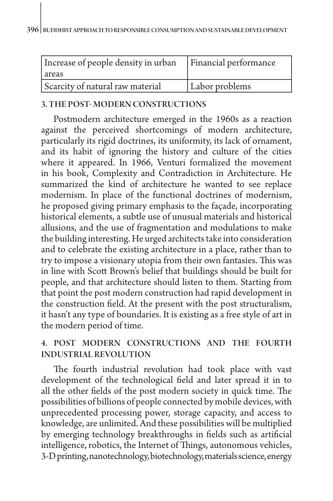| Increase of people density in urban<br>I areas | <b>Financial performance</b> |
|------------------------------------------------|------------------------------|
| Scarcity of natural raw material               | Labor problems               |

#### 3. THE POST- MODERN CONSTRUCTIONS

Postmodern architecture emerged in the 1960s as a reaction against the perceived shortcomings of [modern architecture,](https://en.wikipedia.org/wiki/Modern_architecture) particularly its rigid doctrines, its uniformity, its lack of ornament, and its habit of ignoring the history and culture of the cities where it appeared. In 1966, Venturi formalized the movement in his book, Complexity and Contradiction in Architecture. He summarized the kind of architecture he wanted to see replace modernism. In place of the functional doctrines of modernism, he proposed giving primary emphasis to the façade, incorporating historical elements, a subtle use of unusual materials and historical allusions, and the use of fragmentation and modulations to make the building interesting. He urged architects take into consideration and to celebrate the existing architecture in a place, rather than to try to impose a visionary utopia from their own fantasies. This was in line with Scott Brown's belief that buildings should be built for people, and that architecture should listen to them. Starting from that point the post modern construction had rapid development in the construction field. At the present with the post structuralism, it hasn't any type of boundaries. It is existing as a free style of art in the modern period of time.

## 4. POST MODERN CONSTRUCTIONS AND THE FOURTH INDUSTRIAL REVOLUTION

The fourth industrial revolution had took place with vast development of the technological field and later spread it in to all the other fields of the post modern society in quick time. The possibilities of billions of people connected by mobile devices, with unprecedented processing power, storage capacity, and access to knowledge, are unlimited. And these possibilities will be multiplied by emerging technology breakthroughs in fields such as artificial intelligence, robotics, the Internet of Things, autonomous vehicles, 3-D printing, nanotechnology, biotechnology, materials science, energy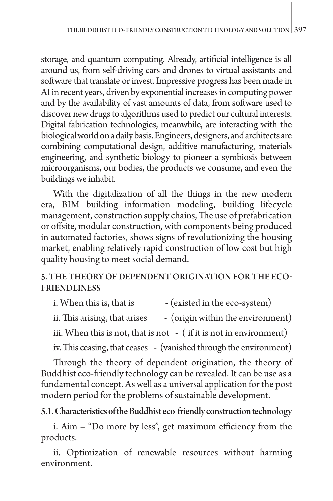storage, and quantum computing. Already, artificial intelligence is all around us, from self-driving cars and drones to virtual assistants and software that translate or invest. Impressive progress has been made in AI in recent years, driven by exponential increases in computing power and by the availability of vast amounts of data, from software used to discover new drugs to algorithms used to predict our cultural interests. Digital fabrication technologies, meanwhile, are interacting with the biological world on a daily basis. Engineers, designers, and architects are combining computational design, additive manufacturing, materials engineering, and synthetic biology to pioneer a symbiosis between microorganisms, our bodies, the products we consume, and even the buildings we inhabit.

With the digitalization of all the things in the new modern era, BIM building information modeling, building lifecycle management, construction supply chains, The use of prefabrication or offsite, modular construction, with components being produced in automated factories, shows signs of revolutionizing the housing market, enabling relatively rapid construction of low cost but high quality housing to meet social demand.

## 5. THE THEORY OF DEPENDENT ORIGINATION FOR THE ECO-FRIENDLINESS

i. When this is, that is  $-$  (existed in the eco-system)

ii. This arising, that arises  $\qquad \cdot$  (origin within the environment)

iii. When this is not, that is not - ( if it is not in environment)

iv. This ceasing, that ceases - (vanished through the environment)

Through the theory of dependent origination, the theory of Buddhist eco-friendly technology can be revealed. It can be use as a fundamental concept. As well as a universal application for the post modern period for the problems of sustainable development.

5.1. Characteristics of the Buddhist eco-friendly construction technology

i. Aim – "Do more by less", get maximum efficiency from the products.

ii. Optimization of renewable resources without harming environment.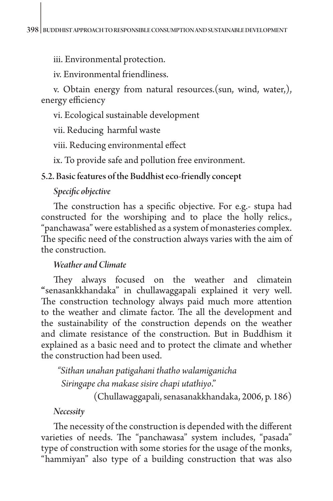iii. Environmental protection.

iv. Environmental friendliness.

v. Obtain energy from natural resources.(sun, wind, water,), energy efficiency

vi. Ecological sustainable development

vii. Reducing harmful waste

viii. Reducing environmental effect

ix. To provide safe and pollution free environment.

#### 5.2. Basic features of the Buddhist eco-friendly concept

### *Specific objective*

The construction has a specific objective. For e.g.- stupa had constructed for the worshiping and to place the holly relics., "panchawasa" were established as a system of monasteries complex. The specific need of the construction always varies with the aim of the construction.

#### *Weather and Climate*

They always focused on the weather and climatein **"**senasankkhandaka" in chullawaggapali explained it very well. The construction technology always paid much more attention to the weather and climate factor. The all the development and the sustainability of the construction depends on the weather and climate resistance of the construction. But in Buddhism it explained as a basic need and to protect the climate and whether the construction had been used.

 *"Sithan unahan patigahani thatho walamiganicha Siringape cha makase sisire chapi utathiyo*."

(Chullawaggapali, senasanakkhandaka, 2006, p. 186)

*Necessity* 

The necessity of the construction is depended with the different varieties of needs. The "panchawasa" system includes, "pasada" type of construction with some stories for the usage of the monks, "hammiyan" also type of a building construction that was also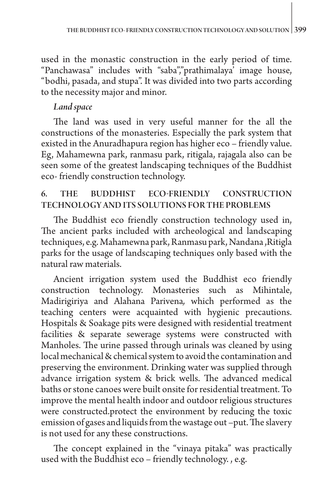used in the monastic construction in the early period of time. "Panchawasa" includes with "saba","prathimalaya' image house, "bodhi, pasada, and stupa". It was divided into two parts according to the necessity major and minor.

## *Land space*

The land was used in very useful manner for the all the constructions of the monasteries. Especially the park system that existed in the Anuradhapura region has higher eco – friendly value. Eg, Mahamewna park, ranmasu park, ritigala, rajagala also can be seen some of the greatest landscaping techniques of the Buddhist eco- friendly construction technology.

## 6. THE BUDDHIST ECO-FRIENDLY CONSTRUCTION TECHNOLOGY AND ITS SOLUTIONS FOR THE PROBLEMS

The Buddhist eco friendly construction technology used in, The ancient parks included with archeological and landscaping techniques, e.g. Mahamewna park, Ranmasu park, Nandana ,Ritigla parks for the usage of landscaping techniques only based with the natural raw materials.

Ancient irrigation system used the Buddhist eco friendly construction technology. Monasteries such as Mihintale, Madirigiriya and Alahana Parivena*,* which performed as the teaching centers were acquainted with hygienic precautions. Hospitals & Soakage pits were designed with residential treatment facilities & separate sewerage systems were constructed with Manholes. The urine passed through urinals was cleaned by using local mechanical & chemical system to avoid the contamination and preserving the environment. Drinking water was supplied through advance irrigation system & brick wells. The advanced medical baths or stone canoes were built onsite for residential treatment. To improve the mental health indoor and outdoor religious structures were constructed.protect the environment by reducing the toxic emission of gases and liquids from the wastage out –put. The slavery is not used for any these constructions.

The concept explained in the "vinaya pitaka" was practically used with the Buddhist eco – friendly technology. , e.g.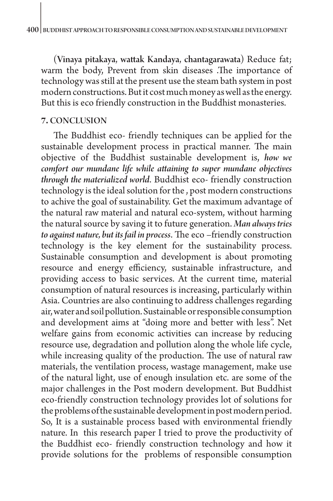(Vinaya pitakaya, wattak Kandaya, chantagarawata) Reduce fat; warm the body, Prevent from skin diseases .The importance of technology was still at the present use the steam bath system in post modern constructions. But it cost much money as well as the energy. But this is eco friendly construction in the Buddhist monasteries.

#### **7.** CONCLUSION

The Buddhist eco- friendly techniques can be applied for the sustainable development process in practical manner. The main objective of the Buddhist sustainable development is, *how we comfort our mundane life while attaining to super mundane objectives through the materialized world*. Buddhist eco- friendly construction technology is the ideal solution for the , post modern constructions to achive the goal of sustainability. Get the maximum advantage of the natural raw material and natural eco-system, without harming the natural source by saving it to future generation. *Man always tries to against nature, but its fail in process*. The eco –friendly construction technology is the key element for the sustainability process. Sustainable consumption and development is about promoting resource and energy efficiency, sustainable infrastructure, and providing access to basic services. At the current time, material consumption of natural resources is increasing, particularly within Asia. Countries are also continuing to address challenges regarding air, water and soil pollution. Sustainable or responsible consumption and development aims at "doing more and better with less". Net welfare gains from economic activities can increase by reducing resource use, degradation and pollution along the whole life cycle, while increasing quality of the production. The use of natural raw materials, the ventilation process, wastage management, make use of the natural light, use of enough insulation etc. are some of the major challenges in the Post modern development. But Buddhist eco-friendly construction technology provides lot of solutions for the problems of the sustainable development in post modern period. So, It is a sustainable process based with environmental friendly nature. In this research paper I tried to prove the productivity of the Buddhist eco- friendly construction technology and how it provide solutions for the problems of responsible consumption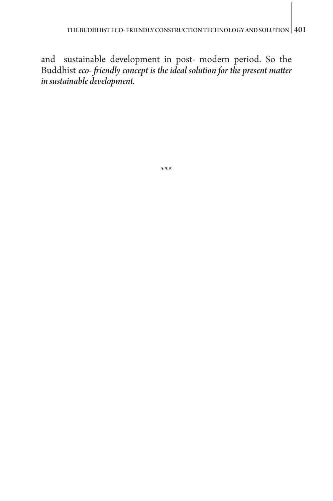and sustainable development in post- modern period. So the Buddhist *eco- friendly concept is the ideal solution for the present matter in sustainable development.*

\*\*\*